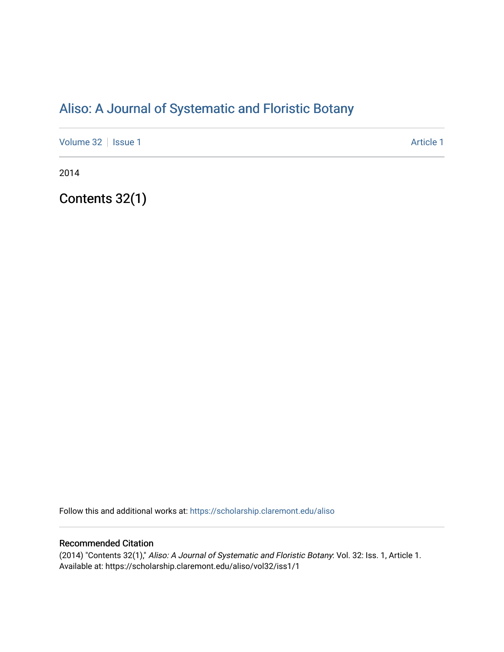# [Aliso: A Journal of Systematic and Floristic Botany](https://scholarship.claremont.edu/aliso)

[Volume 32](https://scholarship.claremont.edu/aliso/vol32) | [Issue 1](https://scholarship.claremont.edu/aliso/vol32/iss1) Article 1

2014

Contents 32(1)

Follow this and additional works at: [https://scholarship.claremont.edu/aliso](https://scholarship.claremont.edu/aliso?utm_source=scholarship.claremont.edu%2Faliso%2Fvol32%2Fiss1%2F1&utm_medium=PDF&utm_campaign=PDFCoverPages) 

## Recommended Citation

(2014) "Contents 32(1)," Aliso: A Journal of Systematic and Floristic Botany: Vol. 32: Iss. 1, Article 1. Available at: https://scholarship.claremont.edu/aliso/vol32/iss1/1